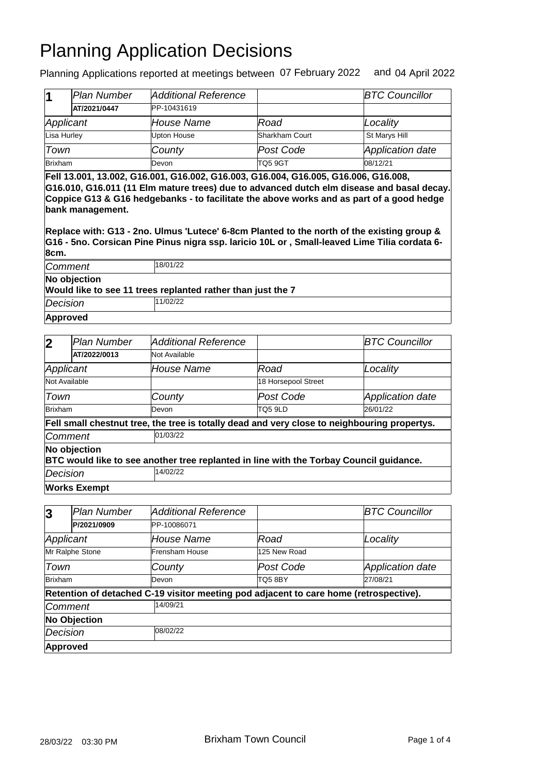Planning Applications reported at meetings between 07 February 2022 and 04 April 2022

|                | lPlan Number | Additional Reference |                | <b>BTC Councillor</b> |
|----------------|--------------|----------------------|----------------|-----------------------|
|                | AT/2021/0447 | PP-10431619          |                |                       |
| Applicant      |              | House Name           | Road           | Locality              |
| Lisa Hurley    |              | Upton House          | Sharkham Court | St Marys Hill         |
| Town           |              | County               | Post Code      | Application date      |
| <b>Brixham</b> |              | Devon                | <b>TQ5 9GT</b> | 08/12/21              |

**Fell 13.001, 13.002, G16.001, G16.002, G16.003, G16.004, G16.005, G16.006, G16.008, G16.010, G16.011 (11 Elm mature trees) due to advanced dutch elm disease and basal decay. Coppice G13 & G16 hedgebanks - to facilitate the above works and as part of a good hedge bank management.**

**Replace with: G13 - 2no. Ulmus 'Lutece' 6-8cm Planted to the north of the existing group & G16 - 5no. Corsican Pine Pinus nigra ssp. laricio 10L or , Small-leaved Lime Tilia cordata 6- 8cm.**

| Comment      | 18/01/22                                                    |  |  |  |  |
|--------------|-------------------------------------------------------------|--|--|--|--|
| No objection |                                                             |  |  |  |  |
|              | Would like to see 11 trees replanted rather than just the 7 |  |  |  |  |
| Decision     | 11/02/22                                                    |  |  |  |  |
| Approved     |                                                             |  |  |  |  |

| 2              | Plan Number         | Additional Reference                                                                         |                     | <b>BTC Councillor</b> |
|----------------|---------------------|----------------------------------------------------------------------------------------------|---------------------|-----------------------|
|                | AT/2022/0013        | Not Available                                                                                |                     |                       |
| Applicant      |                     | House Name                                                                                   | Road                | Locality              |
| Not Available  |                     |                                                                                              | 18 Horsepool Street |                       |
| Town           |                     | County                                                                                       | lPost Code          | Application date      |
| Brixham        |                     | Devon                                                                                        | TQ5 9LD             | 26/01/22              |
|                |                     | Fell small chestnut tree, the tree is totally dead and very close to neighbouring propertys. |                     |                       |
| <b>Comment</b> |                     | 01/03/22                                                                                     |                     |                       |
|                | No objection        | BTC would like to see another tree replanted in line with the Torbay Council guidance.       |                     |                       |
| Decision       |                     | 14/02/22                                                                                     |                     |                       |
|                | <b>Works Exempt</b> |                                                                                              |                     |                       |

| 3                   | <b>Plan Number</b> | <b>Additional Reference</b>                                                           |              | <b>BTC Councillor</b> |  |
|---------------------|--------------------|---------------------------------------------------------------------------------------|--------------|-----------------------|--|
|                     | P/2021/0909        | PP-10086071                                                                           |              |                       |  |
| Applicant           |                    | House Name                                                                            | Road         | Locality              |  |
|                     | Mr Ralphe Stone    | Frensham House                                                                        | 125 New Road |                       |  |
| Town                |                    | County                                                                                | Post Code    | Application date      |  |
| Brixham             |                    | Devon                                                                                 | TQ58BY       | 27/08/21              |  |
|                     |                    | Retention of detached C-19 visitor meeting pod adjacent to care home (retrospective). |              |                       |  |
| Comment             |                    | 14/09/21                                                                              |              |                       |  |
| <b>No Objection</b> |                    |                                                                                       |              |                       |  |
| Decision            |                    | 08/02/22                                                                              |              |                       |  |
| <b>Approved</b>     |                    |                                                                                       |              |                       |  |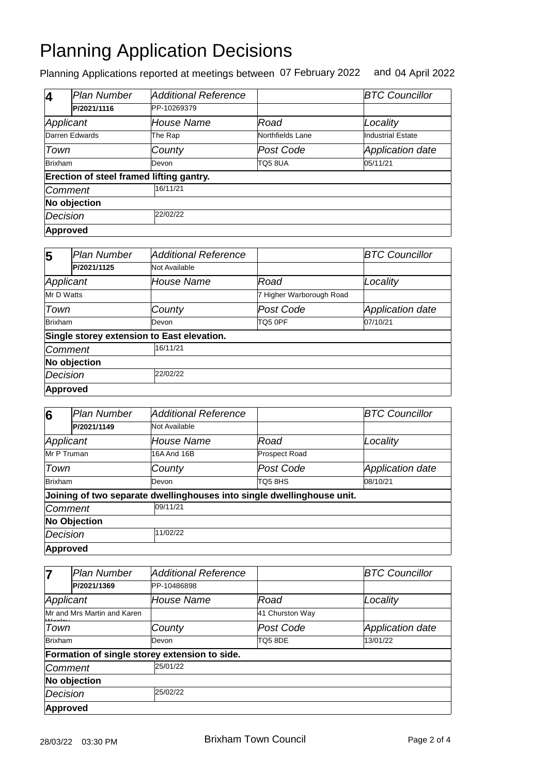Planning Applications reported at meetings between 07 February 2022 and 04 April 2022

| 4              | <b>Plan Number</b>                       | Additional Reference |                  | <b>BTC Councillor</b>    |
|----------------|------------------------------------------|----------------------|------------------|--------------------------|
|                | P/2021/1116                              | PP-10269379          |                  |                          |
| Applicant      |                                          | House Name           | Road             | Locality                 |
|                | Darren Edwards                           | The Rap              | Northfields Lane | <b>Industrial Estate</b> |
| Town           |                                          | County               | Post Code        | <b>Application date</b>  |
| <b>Brixham</b> |                                          | Devon                | TQ58UA           | 05/11/21                 |
|                | Erection of steel framed lifting gantry. |                      |                  |                          |
| Comment        |                                          | 16/11/21             |                  |                          |
|                | No objection                             |                      |                  |                          |
| Decision       |                                          | 22/02/22             |                  |                          |
| Approved       |                                          |                      |                  |                          |

| 5          | <b>Plan Number</b> | <b>Additional Reference</b>                |                          | <b>BTC Councillor</b> |  |
|------------|--------------------|--------------------------------------------|--------------------------|-----------------------|--|
|            | P/2021/1125        | Not Available                              |                          |                       |  |
| Applicant  |                    | House Name                                 | Road                     | Locality              |  |
| Mr D Watts |                    |                                            | 7 Higher Warborough Road |                       |  |
| Town       |                    | County                                     | Post Code                | Application date      |  |
| Brixham    |                    | Devon                                      | TQ5 0PF                  | 07/10/21              |  |
|            |                    | Single storey extension to East elevation. |                          |                       |  |
| Comment    |                    | 16/11/21                                   |                          |                       |  |
|            | No objection       |                                            |                          |                       |  |
| Decision   |                    | 22/02/22                                   |                          |                       |  |
|            | Approved           |                                            |                          |                       |  |

| 6               | Plan Number         | Additional Reference                                                   |                      | <b>BTC Councillor</b>   |  |
|-----------------|---------------------|------------------------------------------------------------------------|----------------------|-------------------------|--|
|                 | P/2021/1149         | Not Available                                                          |                      |                         |  |
| Applicant       |                     | House Name                                                             | Road                 | Locality                |  |
| Mr P Truman     |                     | 16A And 16B                                                            | <b>Prospect Road</b> |                         |  |
| Town            |                     | County                                                                 | Post Code            | <b>Application date</b> |  |
| Brixham         |                     | Devon                                                                  | TQ58HS               | 08/10/21                |  |
|                 |                     | Joining of two separate dwellinghouses into single dwellinghouse unit. |                      |                         |  |
| Comment         |                     | 09/11/21                                                               |                      |                         |  |
|                 | <b>No Objection</b> |                                                                        |                      |                         |  |
| Decision        |                     | 11/02/22                                                               |                      |                         |  |
| <b>Approved</b> |                     |                                                                        |                      |                         |  |

| 7               | <b>Plan Number</b>          | <b>Additional Reference</b>                   |                 | <b>BTC Councillor</b>   |
|-----------------|-----------------------------|-----------------------------------------------|-----------------|-------------------------|
|                 | P/2021/1369                 | PP-10486898                                   |                 |                         |
|                 | Applicant                   | <b>House Name</b>                             | Road            | Locality                |
|                 | Mr and Mrs Martin and Karen |                                               | 41 Churston Way |                         |
| Town            |                             | County                                        | Post Code       | <b>Application date</b> |
| Brixham         |                             | Devon                                         | TQ5 8DE         | 13/01/22                |
|                 |                             | Formation of single storey extension to side. |                 |                         |
|                 | Comment                     | 25/01/22                                      |                 |                         |
|                 | No objection                |                                               |                 |                         |
| <b>Decision</b> |                             | 25/02/22                                      |                 |                         |
| Approved        |                             |                                               |                 |                         |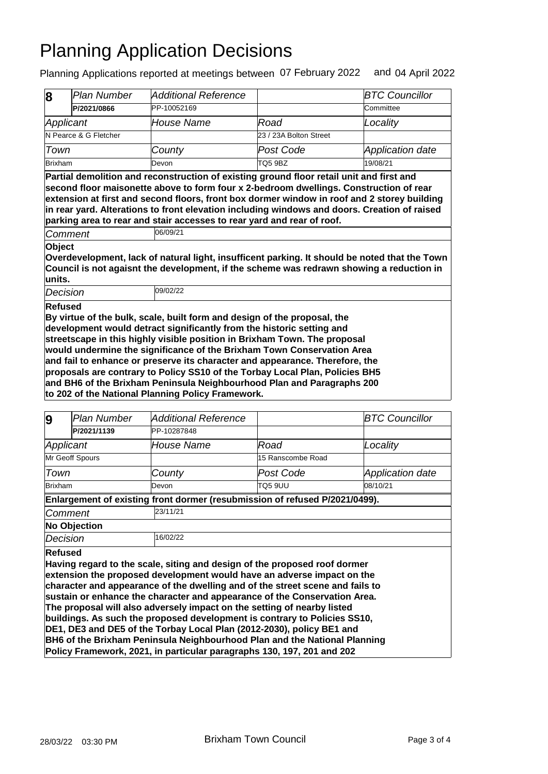Planning Applications reported at meetings between 07 February 2022 and 04 April 2022

|                                                                                                                                                                                                                                                                                                                                                                                                                                                                                                                                                                                                                    | <b>Plan Number</b>    | <b>Additional Reference</b>                                                                                                                                                                                                                                                                                                                                     |                        | <b>BTC Councillor</b> |
|--------------------------------------------------------------------------------------------------------------------------------------------------------------------------------------------------------------------------------------------------------------------------------------------------------------------------------------------------------------------------------------------------------------------------------------------------------------------------------------------------------------------------------------------------------------------------------------------------------------------|-----------------------|-----------------------------------------------------------------------------------------------------------------------------------------------------------------------------------------------------------------------------------------------------------------------------------------------------------------------------------------------------------------|------------------------|-----------------------|
| 8                                                                                                                                                                                                                                                                                                                                                                                                                                                                                                                                                                                                                  |                       |                                                                                                                                                                                                                                                                                                                                                                 |                        |                       |
|                                                                                                                                                                                                                                                                                                                                                                                                                                                                                                                                                                                                                    | P/2021/0866           | PP-10052169                                                                                                                                                                                                                                                                                                                                                     |                        | Committee             |
| Applicant                                                                                                                                                                                                                                                                                                                                                                                                                                                                                                                                                                                                          |                       | <b>House Name</b>                                                                                                                                                                                                                                                                                                                                               | Road                   | Locality              |
|                                                                                                                                                                                                                                                                                                                                                                                                                                                                                                                                                                                                                    | N Pearce & G Fletcher |                                                                                                                                                                                                                                                                                                                                                                 | 23 / 23A Bolton Street |                       |
| Town                                                                                                                                                                                                                                                                                                                                                                                                                                                                                                                                                                                                               |                       | County                                                                                                                                                                                                                                                                                                                                                          | Post Code              | Application date      |
| <b>Brixham</b>                                                                                                                                                                                                                                                                                                                                                                                                                                                                                                                                                                                                     |                       | Devon                                                                                                                                                                                                                                                                                                                                                           | TO <sub>5</sub> 9BZ    | 19/08/21              |
|                                                                                                                                                                                                                                                                                                                                                                                                                                                                                                                                                                                                                    |                       | second floor maisonette above to form four x 2-bedroom dwellings. Construction of rear<br>extension at first and second floors, front box dormer window in roof and 2 storey building<br>in rear yard. Alterations to front elevation including windows and doors. Creation of raised<br>parking area to rear and stair accesses to rear yard and rear of roof. |                        |                       |
|                                                                                                                                                                                                                                                                                                                                                                                                                                                                                                                                                                                                                    | Comment               | 06/09/21                                                                                                                                                                                                                                                                                                                                                        |                        |                       |
| units.                                                                                                                                                                                                                                                                                                                                                                                                                                                                                                                                                                                                             |                       | Overdevelopment, lack of natural light, insufficent parking. It should be noted that the Town<br>Council is not agaisnt the development, if the scheme was redrawn showing a reduction in                                                                                                                                                                       |                        |                       |
| Decision                                                                                                                                                                                                                                                                                                                                                                                                                                                                                                                                                                                                           |                       | 09/02/22                                                                                                                                                                                                                                                                                                                                                        |                        |                       |
| Refused<br>By virtue of the bulk, scale, built form and design of the proposal, the<br>development would detract significantly from the historic setting and<br>streetscape in this highly visible position in Brixham Town. The proposal<br>would undermine the significance of the Brixham Town Conservation Area<br>and fail to enhance or preserve its character and appearance. Therefore, the<br>proposals are contrary to Policy SS10 of the Torbay Local Plan, Policies BH5<br>and BH6 of the Brixham Peninsula Neighbourhood Plan and Paragraphs 200<br>to 202 of the National Planning Policy Framework. |                       |                                                                                                                                                                                                                                                                                                                                                                 |                        |                       |
| 9                                                                                                                                                                                                                                                                                                                                                                                                                                                                                                                                                                                                                  | Plan Number           | Additional Reference                                                                                                                                                                                                                                                                                                                                            |                        | <b>BTC Councillor</b> |

| У              | r iai i wuniver     | Auulliullal Neielehue                                                         |                   | D I U UUUI IUIIIUI      |  |
|----------------|---------------------|-------------------------------------------------------------------------------|-------------------|-------------------------|--|
|                | P/2021/1139         | PP-10287848                                                                   |                   |                         |  |
|                | Applicant           | House Name                                                                    | Road              | Locality                |  |
|                | Mr Geoff Spours     |                                                                               | 15 Ranscombe Road |                         |  |
| Town           |                     | County                                                                        | Post Code         | <b>Application date</b> |  |
| <b>Brixham</b> |                     | Devon                                                                         | TQ5 9UU           | 08/10/21                |  |
|                |                     | Enlargement of existing front dormer (resubmission of refused P/2021/0499).   |                   |                         |  |
|                | 23/11/21<br>Comment |                                                                               |                   |                         |  |
|                | <b>No Objection</b> |                                                                               |                   |                         |  |
| Decision       |                     | 16/02/22                                                                      |                   |                         |  |
| <b>Refused</b> |                     |                                                                               |                   |                         |  |
|                |                     | Having regard to the scale, siting and design of the proposed roof dormer     |                   |                         |  |
|                |                     | extension the proposed development would have an adverse impact on the        |                   |                         |  |
|                |                     | character and appearance of the dwelling and of the street scene and fails to |                   |                         |  |
|                |                     | sustain or enhance the character and appearance of the Conservation Area.     |                   |                         |  |
|                |                     | The proposal will also adversely impact on the setting of nearby listed       |                   |                         |  |
|                |                     | buildings. As such the proposed development is contrary to Policies SS10,     |                   |                         |  |
|                |                     | DE1, DE3 and DE5 of the Torbay Local Plan (2012-2030), policy BE1 and         |                   |                         |  |
|                |                     | BH6 of the Brixham Peninsula Neighbourhood Plan and the National Planning     |                   |                         |  |
|                |                     | Policy Framework, 2021, in particular paragraphs 130, 197, 201 and 202        |                   |                         |  |